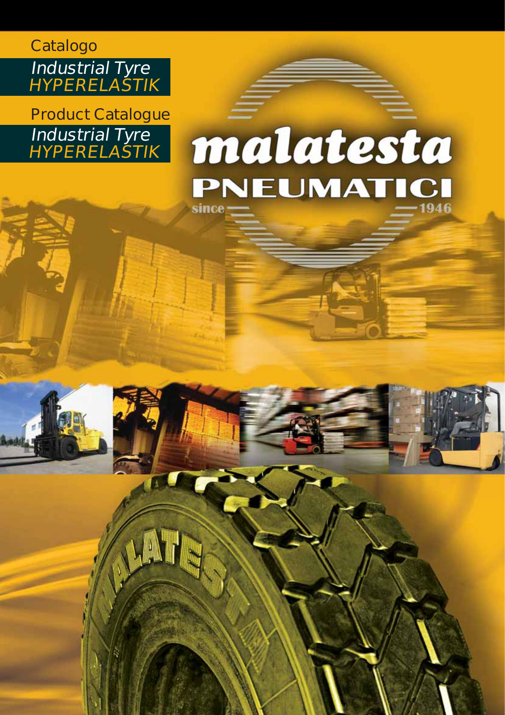### **Catalogo Industrial Tyre HYPERELASTIK**

**Product Catalogue Industrial Tyre HYPERELASTIK**

**A.MT** 

## malatesta PNEUMATICI 1946 since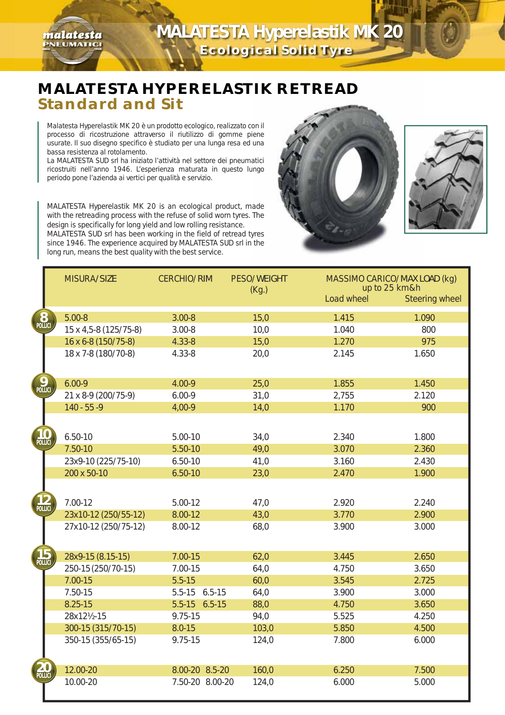

#### **MALATESTA HYPERELASTIK RETREAD Standard and Sit**

Malatesta Hyperelastik MK 20 è un prodotto ecologico, realizzato con il processo di ricostruzione attraverso il riutilizzo di gomme piene usurate. Il suo disegno specifico è studiato per una lunga resa ed una bassa resistenza al rotolamento.

malatesta **PNEUMATICI** 

La MALATESTA SUD srl ha iniziato l'attività nel settore dei pneumatici ricostruiti nell'anno 1946. L'esperienza maturata in questo lungo periodo pone l'azienda ai vertici per qualità e servizio.

MALATESTA Hyperelastik MK 20 is an ecological product, made with the retreading process with the refuse of solid worn tyres. The design is specifically for long yield and low rolling resistance. MALATESTA SUD srl has been working in the field of retread tyres since 1946. The experience acquired by MALATESTA SUD srl in the long run, means the best quality with the best service.





|                    | MISURA/SIZE |                       | <b>CERCHIO/RIM</b> | PESO/WEIGHT<br>(Kg.) | MASSIMO CARICO/MAX LOAD (kg)<br>up to 25 km&h |                       |
|--------------------|-------------|-----------------------|--------------------|----------------------|-----------------------------------------------|-----------------------|
|                    |             |                       |                    |                      | Load wheel                                    | <b>Steering wheel</b> |
| <b>8</b><br>POLLIC |             | $5.00 - 8$            | $3.00 - 8$         | 15,0                 | 1.415                                         | 1.090                 |
|                    |             | 15 x 4,5-8 (125/75-8) | $3.00 - 8$         | 10,0                 | 1.040                                         | 800                   |
|                    |             | 16 x 6-8 (150/75-8)   | $4.33 - 8$         | 15,0                 | 1.270                                         | 975                   |
|                    |             | 18 x 7-8 (180/70-8)   | $4.33 - 8$         | 20,0                 | 2.145                                         | 1.650                 |
| POLLIC             |             | $6.00 - 9$            | 4.00-9             | 25,0                 | 1.855                                         | 1.450                 |
|                    |             | 21 x 8-9 (200/75-9)   | $6.00 - 9$         | 31,0                 | 2,755                                         | 2.120                 |
|                    |             | $140 - 55 - 9$        | 4,00-9             | 14,0                 | 1.170                                         | 900                   |
|                    |             |                       |                    |                      |                                               |                       |
|                    |             |                       |                    |                      |                                               |                       |
|                    |             | $6.50 - 10$           | $5.00 - 10$        | 34,0                 | 2.340                                         | 1.800                 |
|                    |             | 7.50-10               | 5.50-10            | 49,0                 | 3.070                                         | 2.360                 |
|                    |             | 23x9-10 (225/75-10)   | $6.50 - 10$        | 41,0                 | 3.160                                         | 2.430                 |
|                    |             | 200 x 50-10           | $6.50 - 10$        | 23,0                 | 2.470                                         | 1.900                 |
|                    |             |                       |                    |                      |                                               |                       |
|                    |             | 7.00-12               | $5.00 - 12$        | 47,0                 | 2.920                                         | 2.240                 |
|                    |             | 23x10-12 (250/55-12)  | 8.00-12            | 43,0                 | 3.770                                         | 2.900                 |
|                    |             | 27x10-12 (250/75-12)  | 8.00-12            | 68,0                 | 3.900                                         | 3.000                 |
|                    |             | 28x9-15 (8.15-15)     | $7.00 - 15$        | 62,0                 | 3.445                                         | 2.650                 |
|                    |             | 250-15 (250/70-15)    | 7.00-15            | 64,0                 | 4.750                                         | 3.650                 |
|                    |             | $7.00 - 15$           | $5.5 - 15$         | 60,0                 | 3.545                                         | 2.725                 |
|                    |             | 7.50-15               | 5.5-15 6.5-15      | 64,0                 | 3.900                                         | 3.000                 |
|                    |             | 8.25-15               | 5.5-15 6.5-15      | 88,0                 | 4.750                                         | 3.650                 |
|                    |             | 28x121/2-15           | 9.75-15            | 94,0                 | 5.525                                         | 4.250                 |
|                    |             | 300-15 (315/70-15)    | $8.0 - 15$         | 103,0                | 5.850                                         | 4.500                 |
|                    |             | 350-15 (355/65-15)    | 9.75-15            | 124,0                | 7.800                                         | 6.000                 |
|                    |             | 12.00-20              | 8.00-20 8.5-20     | 160,0                | 6.250                                         | 7.500                 |
|                    |             | 10.00-20              | 7.50-20 8.00-20    | 124,0                | 6.000                                         | 5.000                 |
|                    |             |                       |                    |                      |                                               |                       |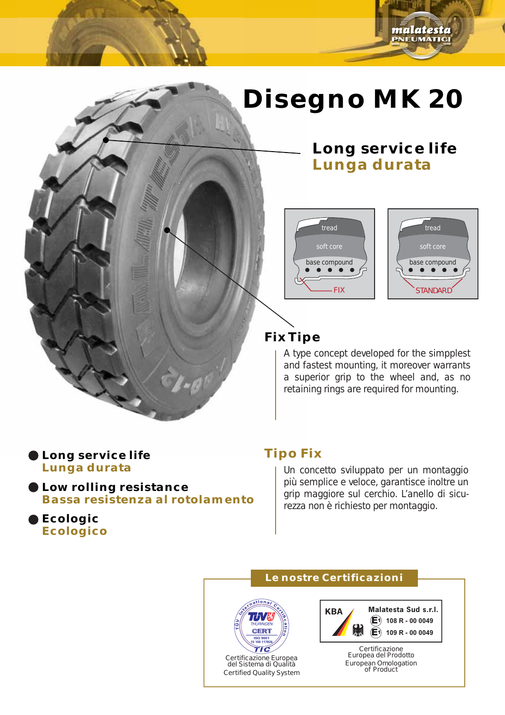## **Disegno MK 20**







malatesta **PNEUMATICI** 

#### **Fix Tipe**

A type concept developed for the simpplest and fastest mounting, it moreover warrants a superior grip to the wheel and, as no retaining rings are required for mounting.

#### **Long service life Lunga durata**

**Low rolling resistance Bassa resistenza al rotolamento**

**Ecologic Ecologico**

#### **Tipo Fix**

Un concetto sviluppato per un montaggio più semplice e veloce, garantisce inoltre un grip maggiore sul cerchio. L'anello di sicurezza non è richiesto per montaggio.